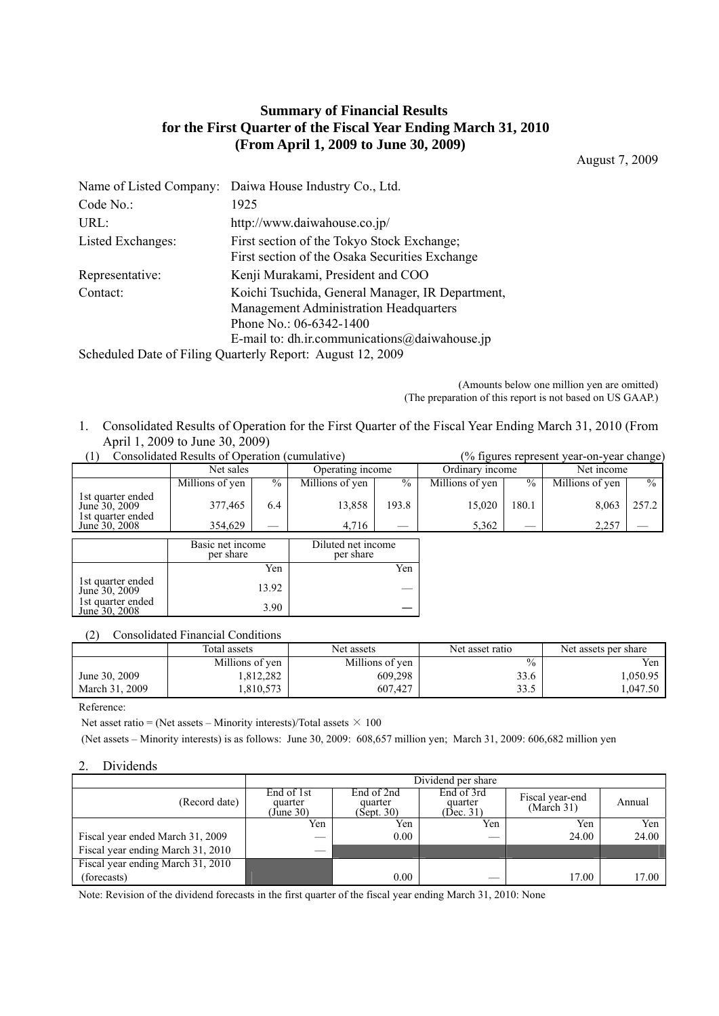# **Summary of Financial Results for the First Quarter of the Fiscal Year Ending March 31, 2010 (From April 1, 2009 to June 30, 2009)**

August 7, 2009

| Daiwa House Industry Co., Ltd.<br>Name of Listed Company:                                                                                                                     |  |  |  |  |
|-------------------------------------------------------------------------------------------------------------------------------------------------------------------------------|--|--|--|--|
| 1925                                                                                                                                                                          |  |  |  |  |
| http://www.daiwahouse.co.jp/                                                                                                                                                  |  |  |  |  |
| First section of the Tokyo Stock Exchange;<br>First section of the Osaka Securities Exchange                                                                                  |  |  |  |  |
| Kenji Murakami, President and COO                                                                                                                                             |  |  |  |  |
| Koichi Tsuchida, General Manager, IR Department,<br><b>Management Administration Headquarters</b><br>Phone No.: 06-6342-1400<br>E-mail to: dh.ir.communications@daiwahouse.jp |  |  |  |  |
| Scheduled Date of Filing Quarterly Report: August 12, 2009                                                                                                                    |  |  |  |  |
|                                                                                                                                                                               |  |  |  |  |

(Amounts below one million yen are omitted) (The preparation of this report is not based on US GAAP.)

1. Consolidated Results of Operation for the First Quarter of the Fiscal Year Ending March 31, 2010 (From April 1, 2009 to June 30, 2009)

| Consolidated Results of Operation (cumulative)          |                  |               |                    | (% figures represent year-on-year change) |                 |       |                 |       |
|---------------------------------------------------------|------------------|---------------|--------------------|-------------------------------------------|-----------------|-------|-----------------|-------|
|                                                         | Net sales        |               | Operating income   |                                           | Ordinary income |       | Net income      |       |
|                                                         | Millions of yen  | $\frac{0}{0}$ | Millions of yen    | $\%$                                      | Millions of yen | $\%$  | Millions of yen | $\%$  |
| 1st quarter ended<br>June 30, 2009<br>1st quarter ended | 377,465          | 6.4           | 13,858             | 193.8                                     | 15,020          | 180.1 | 8,063           | 257.2 |
| June 30, 2008                                           | 354,629          |               | 4,716              |                                           | 5,362           |       | 2,257           |       |
|                                                         | Basic net income |               | Diluted net income |                                           |                 |       |                 |       |
|                                                         | per share        |               | per share          |                                           |                 |       |                 |       |
|                                                         |                  | Yen           |                    | Yen                                       |                 |       |                 |       |
| 1st quarter ended<br>June 30, 2009                      |                  | 13.92         |                    | __                                        |                 |       |                 |       |
| 1st quarter ended<br>June 30, 2008                      |                  | 3.90          |                    |                                           |                 |       |                 |       |

(2) Consolidated Financial Conditions

|                | Total assets    | Net assets      | Net asset ratio | Net assets per share |
|----------------|-----------------|-----------------|-----------------|----------------------|
|                | Millions of yen | Millions of yen | $\%$            | Yen                  |
| June 30, 2009  | 812,282         | 609,298         | 33.6            | .050.95              |
| March 31, 2009 | .810,573        | 607,427         | 33.5            | .047.50              |

Reference:

Net asset ratio = (Net assets – Minority interests)/Total assets  $\times$  100

(Net assets – Minority interests) is as follows: June 30, 2009: 608,657 million yen; March 31, 2009: 606,682 million yen

#### 2. Dividends

|                                   |                                    | Dividend per share                  |                                    |                               |        |  |  |  |
|-----------------------------------|------------------------------------|-------------------------------------|------------------------------------|-------------------------------|--------|--|--|--|
| (Record date)                     | End of 1st<br>quarter<br>(June 30) | End of 2nd<br>quarter<br>(Sept. 30) | End of 3rd<br>quarter<br>(Dec. 31) | Fiscal year-end<br>(March 31) | Annual |  |  |  |
|                                   | Yen                                | Yen                                 | Yen                                | Yen                           | Yen    |  |  |  |
| Fiscal year ended March 31, 2009  |                                    | 0.00                                |                                    | 24.00                         | 24.00  |  |  |  |
| Fiscal year ending March 31, 2010 |                                    |                                     |                                    |                               |        |  |  |  |
| Fiscal year ending March 31, 2010 |                                    |                                     |                                    |                               |        |  |  |  |
| (forecasts)                       |                                    | 0.00                                |                                    | 17.00                         | 17.00  |  |  |  |

Note: Revision of the dividend forecasts in the first quarter of the fiscal year ending March 31, 2010: None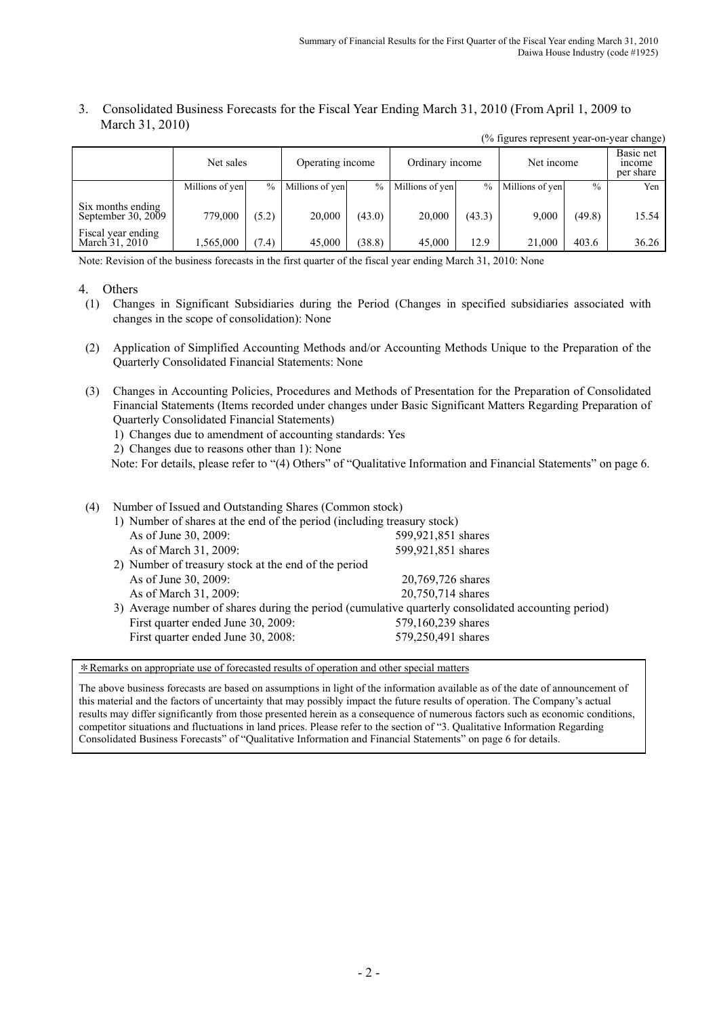#### 3. Consolidated Business Forecasts for the Fiscal Year Ending March 31, 2010 (From April 1, 2009 to March 31, 2010) (% figures represent year-on-year change)

| $\frac{1}{2}$ is $\frac{1}{2}$ in $\frac{1}{2}$ in $\frac{1}{2}$ in $\frac{1}{2}$ in $\frac{1}{2}$ in $\frac{1}{2}$ |                 |       |                  |               |                 |        |                 |               |                                 |
|---------------------------------------------------------------------------------------------------------------------|-----------------|-------|------------------|---------------|-----------------|--------|-----------------|---------------|---------------------------------|
|                                                                                                                     | Net sales       |       | Operating income |               | Ordinary income |        | Net income      |               | Basic net<br>mcome<br>per share |
|                                                                                                                     | Millions of yen | $\%$  | Millions of yen  | $\frac{0}{0}$ | Millions of yen | $\%$   | Millions of yen | $\frac{0}{0}$ | Yen                             |
| Six months ending<br>September 30, 2009                                                                             | 779,000         | (5.2) | 20,000           | (43.0)        | 20,000          | (43.3) | 9.000           | (49.8)        | 15.54                           |
| Fiscal year ending<br>March 31, 2010                                                                                | 1,565,000       | (7.4) | 45,000           | (38.8)        | 45,000          | 12.9   | 21,000          | 403.6         | 36.26                           |

Note: Revision of the business forecasts in the first quarter of the fiscal year ending March 31, 2010: None

#### 4. Others

- (1) Changes in Significant Subsidiaries during the Period (Changes in specified subsidiaries associated with changes in the scope of consolidation): None
- (2) Application of Simplified Accounting Methods and/or Accounting Methods Unique to the Preparation of the Quarterly Consolidated Financial Statements: None
- (3) Changes in Accounting Policies, Procedures and Methods of Presentation for the Preparation of Consolidated Financial Statements (Items recorded under changes under Basic Significant Matters Regarding Preparation of Quarterly Consolidated Financial Statements)
	- 1) Changes due to amendment of accounting standards: Yes
	- 2) Changes due to reasons other than 1): None

Note: For details, please refer to "(4) Others" of "Qualitative Information and Financial Statements" on page 6.

## (4) Number of Issued and Outstanding Shares (Common stock)

| 1) Number of shares at the end of the period (including treasury stock) |                                                                                                     |  |  |  |  |  |
|-------------------------------------------------------------------------|-----------------------------------------------------------------------------------------------------|--|--|--|--|--|
| As of June 30, 2009:                                                    | 599,921,851 shares                                                                                  |  |  |  |  |  |
| As of March 31, 2009:                                                   | 599,921,851 shares                                                                                  |  |  |  |  |  |
| 2) Number of treasury stock at the end of the period                    |                                                                                                     |  |  |  |  |  |
| As of June 30, 2009:                                                    | 20,769,726 shares                                                                                   |  |  |  |  |  |
| As of March 31, 2009:                                                   | 20,750,714 shares                                                                                   |  |  |  |  |  |
|                                                                         | 3) Average number of shares during the period (cumulative quarterly consolidated accounting period) |  |  |  |  |  |
| First quarter ended June 30, 2009:                                      | 579,160,239 shares                                                                                  |  |  |  |  |  |
| First quarter ended June 30, 2008:                                      | 579,250,491 shares                                                                                  |  |  |  |  |  |
|                                                                         |                                                                                                     |  |  |  |  |  |

\*Remarks on appropriate use of forecasted results of operation and other special matters

The above business forecasts are based on assumptions in light of the information available as of the date of announcement of this material and the factors of uncertainty that may possibly impact the future results of operation. The Company's actual results may differ significantly from those presented herein as a consequence of numerous factors such as economic conditions, competitor situations and fluctuations in land prices. Please refer to the section of "3. Qualitative Information Regarding Consolidated Business Forecasts" of "Qualitative Information and Financial Statements" on page 6 for details.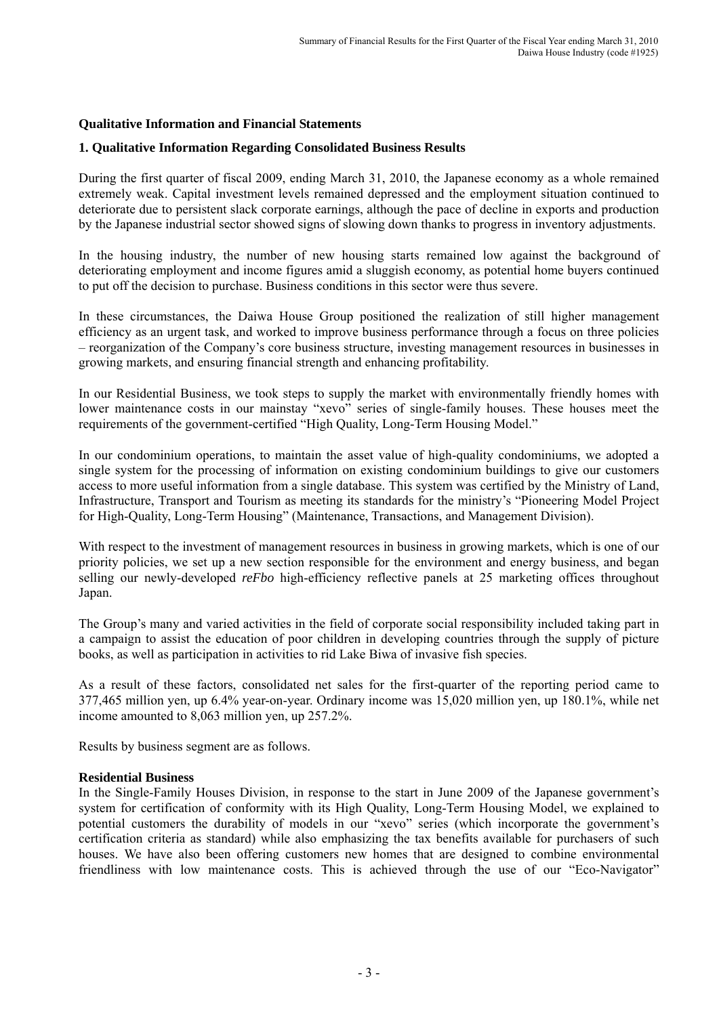## **Qualitative Information and Financial Statements**

## **1. Qualitative Information Regarding Consolidated Business Results**

During the first quarter of fiscal 2009, ending March 31, 2010, the Japanese economy as a whole remained extremely weak. Capital investment levels remained depressed and the employment situation continued to deteriorate due to persistent slack corporate earnings, although the pace of decline in exports and production by the Japanese industrial sector showed signs of slowing down thanks to progress in inventory adjustments.

In the housing industry, the number of new housing starts remained low against the background of deteriorating employment and income figures amid a sluggish economy, as potential home buyers continued to put off the decision to purchase. Business conditions in this sector were thus severe.

In these circumstances, the Daiwa House Group positioned the realization of still higher management efficiency as an urgent task, and worked to improve business performance through a focus on three policies – reorganization of the Company's core business structure, investing management resources in businesses in growing markets, and ensuring financial strength and enhancing profitability.

In our Residential Business, we took steps to supply the market with environmentally friendly homes with lower maintenance costs in our mainstay "xevo" series of single-family houses. These houses meet the requirements of the government-certified "High Quality, Long-Term Housing Model."

In our condominium operations, to maintain the asset value of high-quality condominiums, we adopted a single system for the processing of information on existing condominium buildings to give our customers access to more useful information from a single database. This system was certified by the Ministry of Land, Infrastructure, Transport and Tourism as meeting its standards for the ministry's "Pioneering Model Project for High-Quality, Long-Term Housing" (Maintenance, Transactions, and Management Division).

With respect to the investment of management resources in business in growing markets, which is one of our priority policies, we set up a new section responsible for the environment and energy business, and began selling our newly-developed *reFbo* high-efficiency reflective panels at 25 marketing offices throughout Japan.

The Group's many and varied activities in the field of corporate social responsibility included taking part in a campaign to assist the education of poor children in developing countries through the supply of picture books, as well as participation in activities to rid Lake Biwa of invasive fish species.

As a result of these factors, consolidated net sales for the first-quarter of the reporting period came to 377,465 million yen, up 6.4% year-on-year. Ordinary income was 15,020 million yen, up 180.1%, while net income amounted to 8,063 million yen, up 257.2%.

Results by business segment are as follows.

## **Residential Business**

In the Single-Family Houses Division, in response to the start in June 2009 of the Japanese government's system for certification of conformity with its High Quality, Long-Term Housing Model, we explained to potential customers the durability of models in our "xevo" series (which incorporate the government's certification criteria as standard) while also emphasizing the tax benefits available for purchasers of such houses. We have also been offering customers new homes that are designed to combine environmental friendliness with low maintenance costs. This is achieved through the use of our "Eco-Navigator"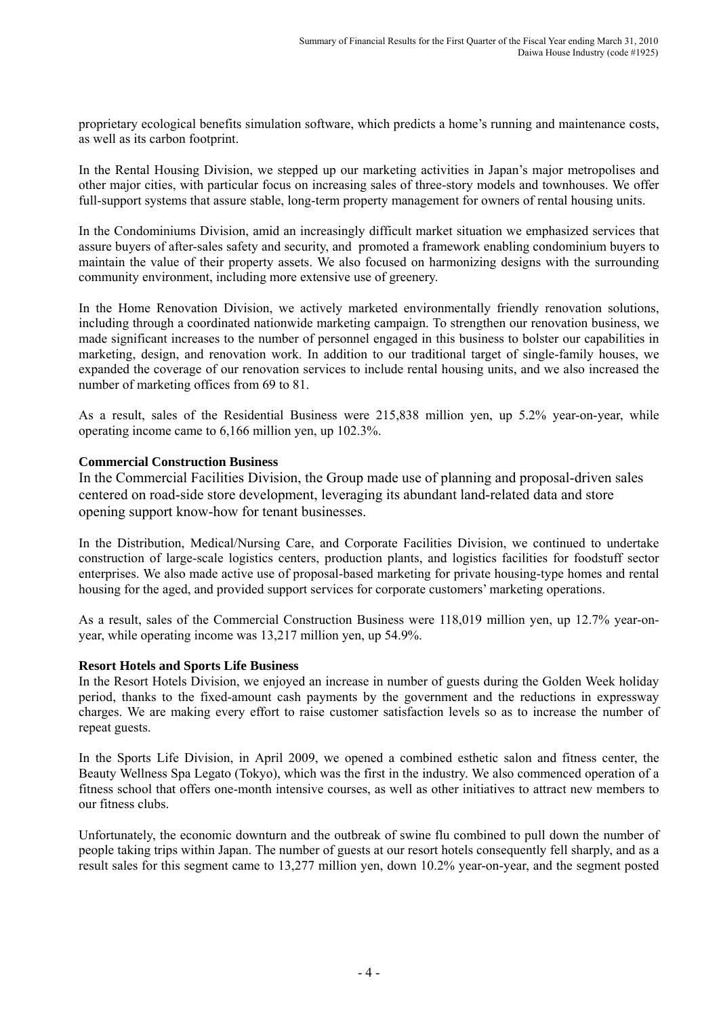proprietary ecological benefits simulation software, which predicts a home's running and maintenance costs, as well as its carbon footprint.

In the Rental Housing Division, we stepped up our marketing activities in Japan's major metropolises and other major cities, with particular focus on increasing sales of three-story models and townhouses. We offer full-support systems that assure stable, long-term property management for owners of rental housing units.

In the Condominiums Division, amid an increasingly difficult market situation we emphasized services that assure buyers of after-sales safety and security, and promoted a framework enabling condominium buyers to maintain the value of their property assets. We also focused on harmonizing designs with the surrounding community environment, including more extensive use of greenery.

In the Home Renovation Division, we actively marketed environmentally friendly renovation solutions, including through a coordinated nationwide marketing campaign. To strengthen our renovation business, we made significant increases to the number of personnel engaged in this business to bolster our capabilities in marketing, design, and renovation work. In addition to our traditional target of single-family houses, we expanded the coverage of our renovation services to include rental housing units, and we also increased the number of marketing offices from 69 to 81.

As a result, sales of the Residential Business were 215,838 million yen, up 5.2% year-on-year, while operating income came to 6,166 million yen, up 102.3%.

## **Commercial Construction Business**

In the Commercial Facilities Division, the Group made use of planning and proposal-driven sales centered on road-side store development, leveraging its abundant land-related data and store opening support know-how for tenant businesses.

In the Distribution, Medical/Nursing Care, and Corporate Facilities Division, we continued to undertake construction of large-scale logistics centers, production plants, and logistics facilities for foodstuff sector enterprises. We also made active use of proposal-based marketing for private housing-type homes and rental housing for the aged, and provided support services for corporate customers' marketing operations.

As a result, sales of the Commercial Construction Business were 118,019 million yen, up 12.7% year-onyear, while operating income was 13,217 million yen, up 54.9%.

## **Resort Hotels and Sports Life Business**

In the Resort Hotels Division, we enjoyed an increase in number of guests during the Golden Week holiday period, thanks to the fixed-amount cash payments by the government and the reductions in expressway charges. We are making every effort to raise customer satisfaction levels so as to increase the number of repeat guests.

In the Sports Life Division, in April 2009, we opened a combined esthetic salon and fitness center, the Beauty Wellness Spa Legato (Tokyo), which was the first in the industry. We also commenced operation of a fitness school that offers one-month intensive courses, as well as other initiatives to attract new members to our fitness clubs.

Unfortunately, the economic downturn and the outbreak of swine flu combined to pull down the number of people taking trips within Japan. The number of guests at our resort hotels consequently fell sharply, and as a result sales for this segment came to 13,277 million yen, down 10.2% year-on-year, and the segment posted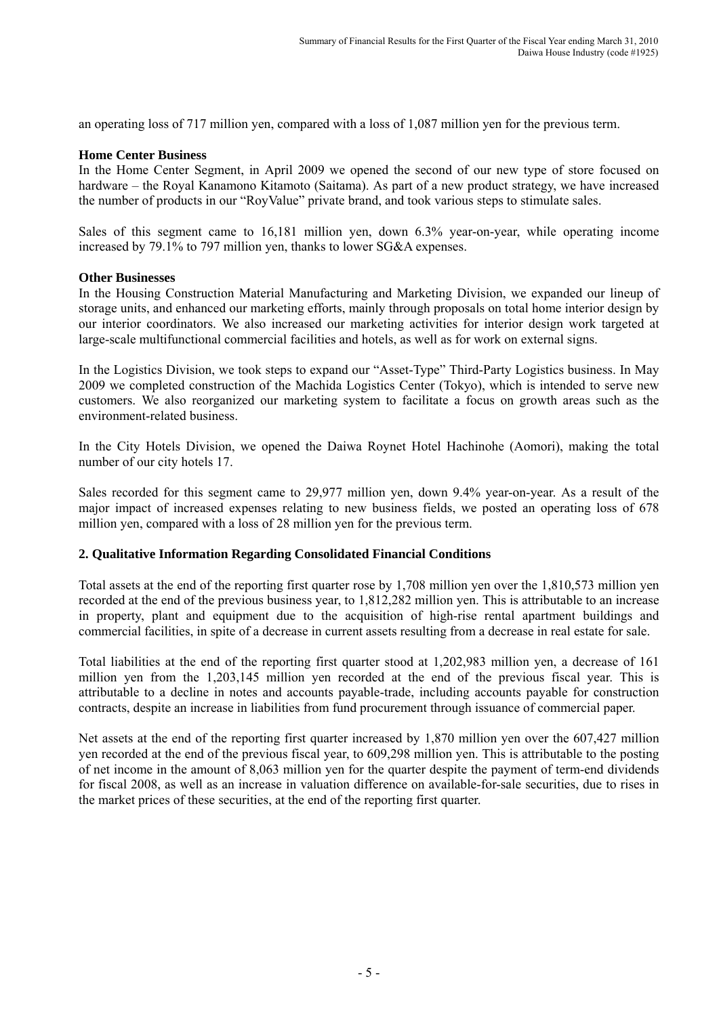an operating loss of 717 million yen, compared with a loss of 1,087 million yen for the previous term.

## **Home Center Business**

In the Home Center Segment, in April 2009 we opened the second of our new type of store focused on hardware – the Royal Kanamono Kitamoto (Saitama). As part of a new product strategy, we have increased the number of products in our "RoyValue" private brand, and took various steps to stimulate sales.

Sales of this segment came to 16,181 million yen, down 6.3% year-on-year, while operating income increased by 79.1% to 797 million yen, thanks to lower SG&A expenses.

## **Other Businesses**

In the Housing Construction Material Manufacturing and Marketing Division, we expanded our lineup of storage units, and enhanced our marketing efforts, mainly through proposals on total home interior design by our interior coordinators. We also increased our marketing activities for interior design work targeted at large-scale multifunctional commercial facilities and hotels, as well as for work on external signs.

In the Logistics Division, we took steps to expand our "Asset-Type" Third-Party Logistics business. In May 2009 we completed construction of the Machida Logistics Center (Tokyo), which is intended to serve new customers. We also reorganized our marketing system to facilitate a focus on growth areas such as the environment-related business.

In the City Hotels Division, we opened the Daiwa Roynet Hotel Hachinohe (Aomori), making the total number of our city hotels 17.

Sales recorded for this segment came to 29,977 million yen, down 9.4% year-on-year. As a result of the major impact of increased expenses relating to new business fields, we posted an operating loss of 678 million yen, compared with a loss of 28 million yen for the previous term.

## **2. Qualitative Information Regarding Consolidated Financial Conditions**

Total assets at the end of the reporting first quarter rose by 1,708 million yen over the 1,810,573 million yen recorded at the end of the previous business year, to 1,812,282 million yen. This is attributable to an increase in property, plant and equipment due to the acquisition of high-rise rental apartment buildings and commercial facilities, in spite of a decrease in current assets resulting from a decrease in real estate for sale.

Total liabilities at the end of the reporting first quarter stood at 1,202,983 million yen, a decrease of 161 million yen from the 1,203,145 million yen recorded at the end of the previous fiscal year. This is attributable to a decline in notes and accounts payable-trade, including accounts payable for construction contracts, despite an increase in liabilities from fund procurement through issuance of commercial paper.

Net assets at the end of the reporting first quarter increased by 1,870 million yen over the 607,427 million yen recorded at the end of the previous fiscal year, to 609,298 million yen. This is attributable to the posting of net income in the amount of 8,063 million yen for the quarter despite the payment of term-end dividends for fiscal 2008, as well as an increase in valuation difference on available-for-sale securities, due to rises in the market prices of these securities, at the end of the reporting first quarter.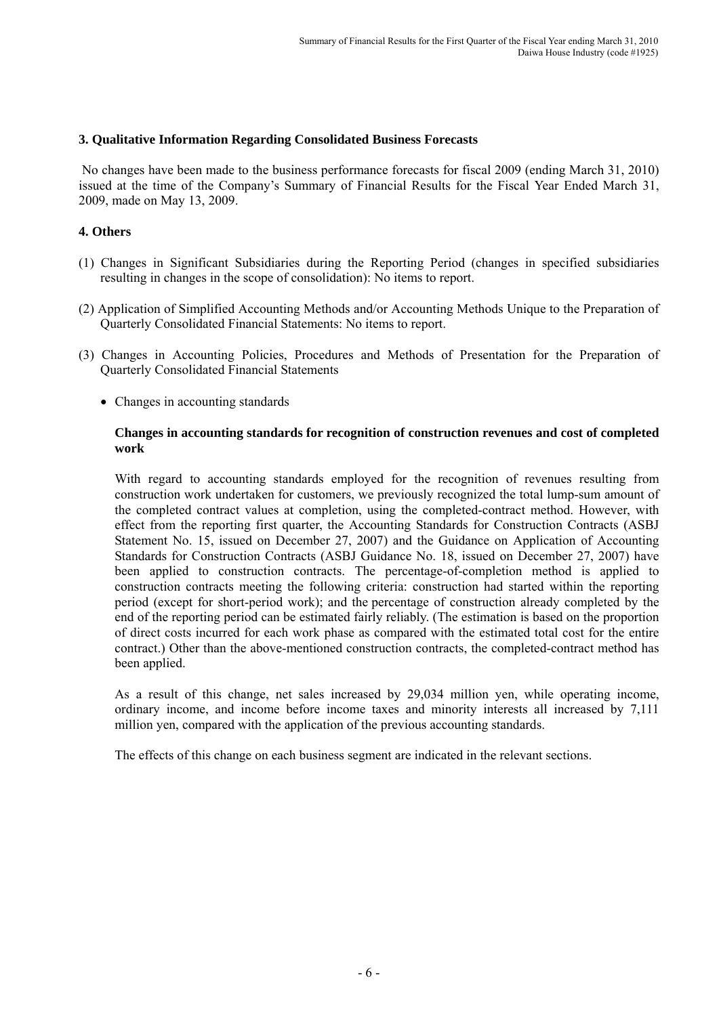## **3. Qualitative Information Regarding Consolidated Business Forecasts**

 No changes have been made to the business performance forecasts for fiscal 2009 (ending March 31, 2010) issued at the time of the Company's Summary of Financial Results for the Fiscal Year Ended March 31, 2009, made on May 13, 2009.

## **4. Others**

- (1) Changes in Significant Subsidiaries during the Reporting Period (changes in specified subsidiaries resulting in changes in the scope of consolidation): No items to report.
- (2) Application of Simplified Accounting Methods and/or Accounting Methods Unique to the Preparation of Quarterly Consolidated Financial Statements: No items to report.
- (3) Changes in Accounting Policies, Procedures and Methods of Presentation for the Preparation of Quarterly Consolidated Financial Statements
	- Changes in accounting standards

## **Changes in accounting standards for recognition of construction revenues and cost of completed work**

With regard to accounting standards employed for the recognition of revenues resulting from construction work undertaken for customers, we previously recognized the total lump-sum amount of the completed contract values at completion, using the completed-contract method. However, with effect from the reporting first quarter, the Accounting Standards for Construction Contracts (ASBJ Statement No. 15, issued on December 27, 2007) and the Guidance on Application of Accounting Standards for Construction Contracts (ASBJ Guidance No. 18, issued on December 27, 2007) have been applied to construction contracts. The percentage-of-completion method is applied to construction contracts meeting the following criteria: construction had started within the reporting period (except for short-period work); and the percentage of construction already completed by the end of the reporting period can be estimated fairly reliably. (The estimation is based on the proportion of direct costs incurred for each work phase as compared with the estimated total cost for the entire contract.) Other than the above-mentioned construction contracts, the completed-contract method has been applied.

As a result of this change, net sales increased by 29,034 million yen, while operating income, ordinary income, and income before income taxes and minority interests all increased by 7,111 million yen, compared with the application of the previous accounting standards.

The effects of this change on each business segment are indicated in the relevant sections.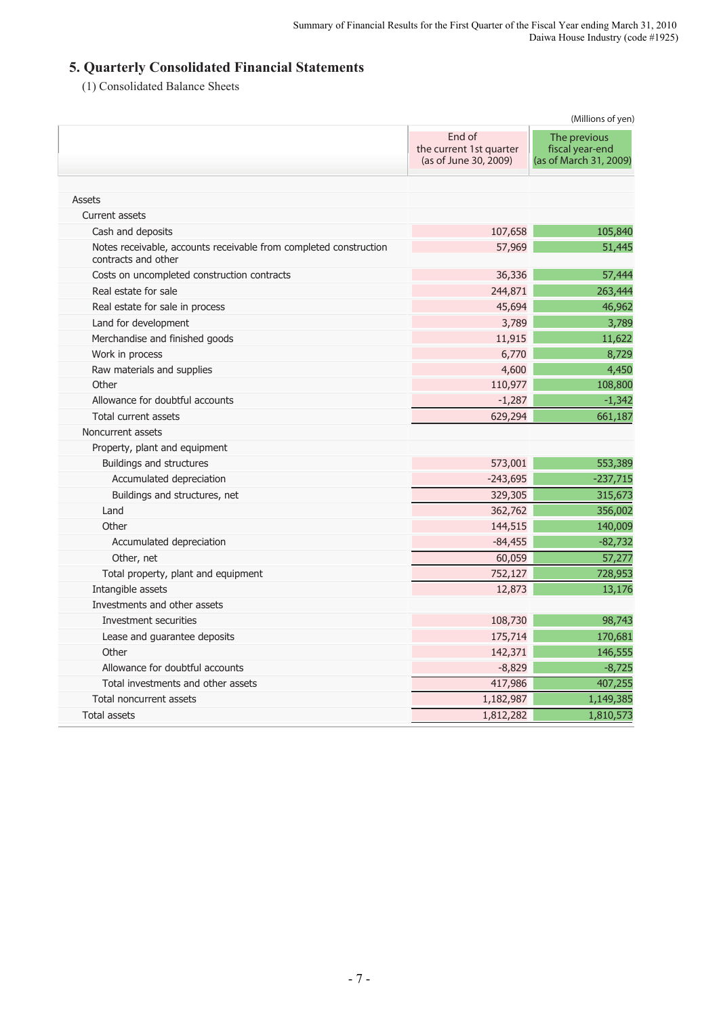# **5. Quarterly Consolidated Financial Statements**

(1) Consolidated Balance Sheets

| End of<br>The previous<br>the current 1st quarter<br>fiscal year-end<br>(as of June 30, 2009)<br><b>Assets</b><br>Current assets<br>107,658<br>Cash and deposits<br>57,969<br>Notes receivable, accounts receivable from completed construction<br>contracts and other<br>36,336<br>Costs on uncompleted construction contracts<br>244,871<br>Real estate for sale<br>45,694<br>Real estate for sale in process<br>3,789<br>Land for development<br>Merchandise and finished goods<br>11,915<br>6,770<br>Work in process<br>4,600<br>Raw materials and supplies<br>Other<br>110,977<br>$-1,287$<br>Allowance for doubtful accounts<br>Total current assets<br>629,294<br>Noncurrent assets<br>Property, plant and equipment<br>573,001<br>Buildings and structures<br>$-243,695$<br>Accumulated depreciation<br>329,305<br>Buildings and structures, net<br>362,762<br>Land<br>Other<br>144,515<br>$-84,455$<br>Accumulated depreciation<br>60,059<br>Other, net<br>752,127<br>Total property, plant and equipment<br>Intangible assets<br>12,873<br>Investments and other assets<br>Investment securities<br>108,730<br>175,714<br>Lease and guarantee deposits<br>142,371<br>Other<br>Allowance for doubtful accounts<br>$-8,829$<br>417,986<br>Total investments and other assets<br>1,182,987<br>Total noncurrent assets<br>1,812,282<br><b>Total assets</b> | (Millions of yen) |                        |  |  |
|------------------------------------------------------------------------------------------------------------------------------------------------------------------------------------------------------------------------------------------------------------------------------------------------------------------------------------------------------------------------------------------------------------------------------------------------------------------------------------------------------------------------------------------------------------------------------------------------------------------------------------------------------------------------------------------------------------------------------------------------------------------------------------------------------------------------------------------------------------------------------------------------------------------------------------------------------------------------------------------------------------------------------------------------------------------------------------------------------------------------------------------------------------------------------------------------------------------------------------------------------------------------------------------------------------------------------------------------------------------|-------------------|------------------------|--|--|
|                                                                                                                                                                                                                                                                                                                                                                                                                                                                                                                                                                                                                                                                                                                                                                                                                                                                                                                                                                                                                                                                                                                                                                                                                                                                                                                                                                  |                   | (as of March 31, 2009) |  |  |
|                                                                                                                                                                                                                                                                                                                                                                                                                                                                                                                                                                                                                                                                                                                                                                                                                                                                                                                                                                                                                                                                                                                                                                                                                                                                                                                                                                  |                   |                        |  |  |
|                                                                                                                                                                                                                                                                                                                                                                                                                                                                                                                                                                                                                                                                                                                                                                                                                                                                                                                                                                                                                                                                                                                                                                                                                                                                                                                                                                  |                   |                        |  |  |
|                                                                                                                                                                                                                                                                                                                                                                                                                                                                                                                                                                                                                                                                                                                                                                                                                                                                                                                                                                                                                                                                                                                                                                                                                                                                                                                                                                  |                   | 105,840                |  |  |
|                                                                                                                                                                                                                                                                                                                                                                                                                                                                                                                                                                                                                                                                                                                                                                                                                                                                                                                                                                                                                                                                                                                                                                                                                                                                                                                                                                  |                   | 51,445                 |  |  |
|                                                                                                                                                                                                                                                                                                                                                                                                                                                                                                                                                                                                                                                                                                                                                                                                                                                                                                                                                                                                                                                                                                                                                                                                                                                                                                                                                                  |                   | 57,444                 |  |  |
|                                                                                                                                                                                                                                                                                                                                                                                                                                                                                                                                                                                                                                                                                                                                                                                                                                                                                                                                                                                                                                                                                                                                                                                                                                                                                                                                                                  |                   | 263,444                |  |  |
|                                                                                                                                                                                                                                                                                                                                                                                                                                                                                                                                                                                                                                                                                                                                                                                                                                                                                                                                                                                                                                                                                                                                                                                                                                                                                                                                                                  |                   | 46,962                 |  |  |
|                                                                                                                                                                                                                                                                                                                                                                                                                                                                                                                                                                                                                                                                                                                                                                                                                                                                                                                                                                                                                                                                                                                                                                                                                                                                                                                                                                  |                   | 3,789                  |  |  |
|                                                                                                                                                                                                                                                                                                                                                                                                                                                                                                                                                                                                                                                                                                                                                                                                                                                                                                                                                                                                                                                                                                                                                                                                                                                                                                                                                                  |                   | 11,622                 |  |  |
|                                                                                                                                                                                                                                                                                                                                                                                                                                                                                                                                                                                                                                                                                                                                                                                                                                                                                                                                                                                                                                                                                                                                                                                                                                                                                                                                                                  |                   | 8,729                  |  |  |
|                                                                                                                                                                                                                                                                                                                                                                                                                                                                                                                                                                                                                                                                                                                                                                                                                                                                                                                                                                                                                                                                                                                                                                                                                                                                                                                                                                  |                   | 4,450                  |  |  |
|                                                                                                                                                                                                                                                                                                                                                                                                                                                                                                                                                                                                                                                                                                                                                                                                                                                                                                                                                                                                                                                                                                                                                                                                                                                                                                                                                                  |                   | 108,800                |  |  |
|                                                                                                                                                                                                                                                                                                                                                                                                                                                                                                                                                                                                                                                                                                                                                                                                                                                                                                                                                                                                                                                                                                                                                                                                                                                                                                                                                                  |                   | $-1,342$               |  |  |
|                                                                                                                                                                                                                                                                                                                                                                                                                                                                                                                                                                                                                                                                                                                                                                                                                                                                                                                                                                                                                                                                                                                                                                                                                                                                                                                                                                  |                   | 661,187                |  |  |
|                                                                                                                                                                                                                                                                                                                                                                                                                                                                                                                                                                                                                                                                                                                                                                                                                                                                                                                                                                                                                                                                                                                                                                                                                                                                                                                                                                  |                   |                        |  |  |
|                                                                                                                                                                                                                                                                                                                                                                                                                                                                                                                                                                                                                                                                                                                                                                                                                                                                                                                                                                                                                                                                                                                                                                                                                                                                                                                                                                  |                   |                        |  |  |
|                                                                                                                                                                                                                                                                                                                                                                                                                                                                                                                                                                                                                                                                                                                                                                                                                                                                                                                                                                                                                                                                                                                                                                                                                                                                                                                                                                  |                   | 553,389                |  |  |
|                                                                                                                                                                                                                                                                                                                                                                                                                                                                                                                                                                                                                                                                                                                                                                                                                                                                                                                                                                                                                                                                                                                                                                                                                                                                                                                                                                  |                   | $-237,715$             |  |  |
|                                                                                                                                                                                                                                                                                                                                                                                                                                                                                                                                                                                                                                                                                                                                                                                                                                                                                                                                                                                                                                                                                                                                                                                                                                                                                                                                                                  |                   | 315,673                |  |  |
|                                                                                                                                                                                                                                                                                                                                                                                                                                                                                                                                                                                                                                                                                                                                                                                                                                                                                                                                                                                                                                                                                                                                                                                                                                                                                                                                                                  |                   | 356,002                |  |  |
|                                                                                                                                                                                                                                                                                                                                                                                                                                                                                                                                                                                                                                                                                                                                                                                                                                                                                                                                                                                                                                                                                                                                                                                                                                                                                                                                                                  |                   | 140,009                |  |  |
|                                                                                                                                                                                                                                                                                                                                                                                                                                                                                                                                                                                                                                                                                                                                                                                                                                                                                                                                                                                                                                                                                                                                                                                                                                                                                                                                                                  |                   | $-82,732$              |  |  |
|                                                                                                                                                                                                                                                                                                                                                                                                                                                                                                                                                                                                                                                                                                                                                                                                                                                                                                                                                                                                                                                                                                                                                                                                                                                                                                                                                                  |                   | $\overline{57,277}$    |  |  |
|                                                                                                                                                                                                                                                                                                                                                                                                                                                                                                                                                                                                                                                                                                                                                                                                                                                                                                                                                                                                                                                                                                                                                                                                                                                                                                                                                                  |                   | 728,953                |  |  |
|                                                                                                                                                                                                                                                                                                                                                                                                                                                                                                                                                                                                                                                                                                                                                                                                                                                                                                                                                                                                                                                                                                                                                                                                                                                                                                                                                                  |                   | 13,176                 |  |  |
|                                                                                                                                                                                                                                                                                                                                                                                                                                                                                                                                                                                                                                                                                                                                                                                                                                                                                                                                                                                                                                                                                                                                                                                                                                                                                                                                                                  |                   |                        |  |  |
|                                                                                                                                                                                                                                                                                                                                                                                                                                                                                                                                                                                                                                                                                                                                                                                                                                                                                                                                                                                                                                                                                                                                                                                                                                                                                                                                                                  |                   | 98,743                 |  |  |
|                                                                                                                                                                                                                                                                                                                                                                                                                                                                                                                                                                                                                                                                                                                                                                                                                                                                                                                                                                                                                                                                                                                                                                                                                                                                                                                                                                  |                   | 170,681                |  |  |
|                                                                                                                                                                                                                                                                                                                                                                                                                                                                                                                                                                                                                                                                                                                                                                                                                                                                                                                                                                                                                                                                                                                                                                                                                                                                                                                                                                  |                   | 146,555                |  |  |
|                                                                                                                                                                                                                                                                                                                                                                                                                                                                                                                                                                                                                                                                                                                                                                                                                                                                                                                                                                                                                                                                                                                                                                                                                                                                                                                                                                  |                   | $-8,725$               |  |  |
|                                                                                                                                                                                                                                                                                                                                                                                                                                                                                                                                                                                                                                                                                                                                                                                                                                                                                                                                                                                                                                                                                                                                                                                                                                                                                                                                                                  |                   | 407,255                |  |  |
|                                                                                                                                                                                                                                                                                                                                                                                                                                                                                                                                                                                                                                                                                                                                                                                                                                                                                                                                                                                                                                                                                                                                                                                                                                                                                                                                                                  |                   | 1,149,385              |  |  |
|                                                                                                                                                                                                                                                                                                                                                                                                                                                                                                                                                                                                                                                                                                                                                                                                                                                                                                                                                                                                                                                                                                                                                                                                                                                                                                                                                                  |                   | 1,810,573              |  |  |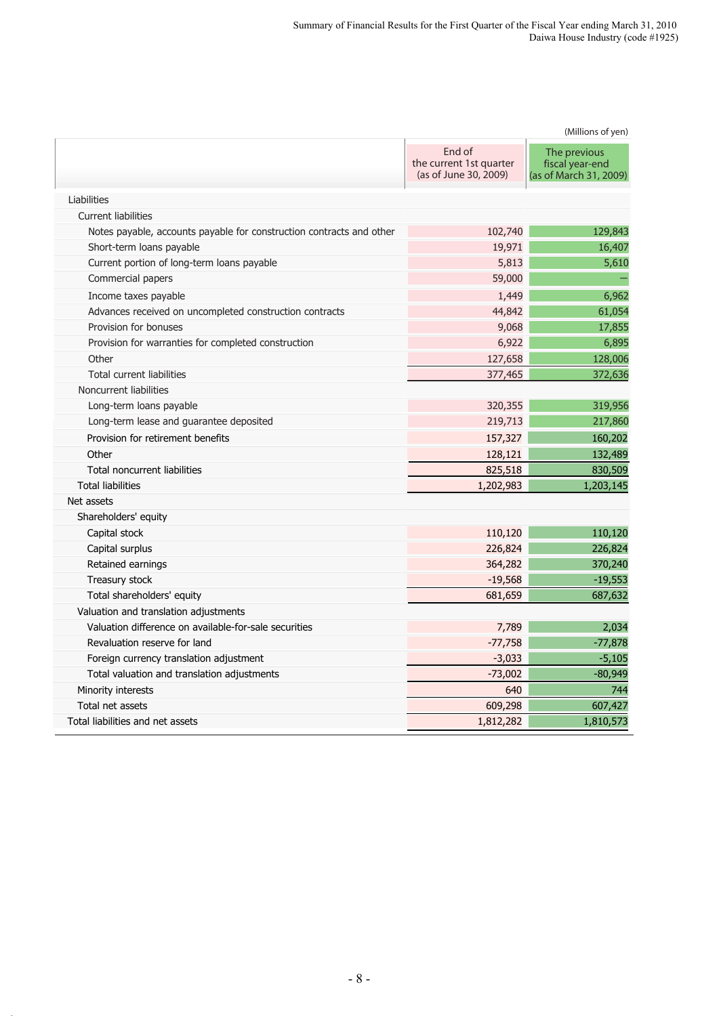|                                                                      | (Millions of yen)                                          |                                                           |  |  |
|----------------------------------------------------------------------|------------------------------------------------------------|-----------------------------------------------------------|--|--|
|                                                                      | End of<br>the current 1st quarter<br>(as of June 30, 2009) | The previous<br>fiscal year-end<br>(as of March 31, 2009) |  |  |
| Liabilities                                                          |                                                            |                                                           |  |  |
| <b>Current liabilities</b>                                           |                                                            |                                                           |  |  |
| Notes payable, accounts payable for construction contracts and other | 102,740                                                    | 129,843                                                   |  |  |
| Short-term loans payable                                             | 19,971                                                     | 16,407                                                    |  |  |
| Current portion of long-term loans payable                           | 5,813                                                      | 5,610                                                     |  |  |
| Commercial papers                                                    | 59,000                                                     |                                                           |  |  |
| Income taxes payable                                                 | 1,449                                                      | 6,962                                                     |  |  |
| Advances received on uncompleted construction contracts              | 44,842                                                     | 61,054                                                    |  |  |
| Provision for bonuses                                                | 9,068                                                      | 17,855                                                    |  |  |
| Provision for warranties for completed construction                  | 6,922                                                      | 6,895                                                     |  |  |
| Other                                                                | 127,658                                                    | 128,006                                                   |  |  |
| <b>Total current liabilities</b>                                     | 377,465                                                    | 372,636                                                   |  |  |
| Noncurrent liabilities                                               |                                                            |                                                           |  |  |
| Long-term loans payable                                              | 320,355                                                    | 319,956                                                   |  |  |
| Long-term lease and guarantee deposited                              | 219,713                                                    | 217,860                                                   |  |  |
| Provision for retirement benefits                                    | 157,327                                                    | 160,202                                                   |  |  |
| Other                                                                | 128,121                                                    | 132,489                                                   |  |  |
| Total noncurrent liabilities                                         | 825,518                                                    | 830,509                                                   |  |  |
| <b>Total liabilities</b>                                             | 1,202,983                                                  | 1,203,145                                                 |  |  |
| Net assets                                                           |                                                            |                                                           |  |  |
| Shareholders' equity                                                 |                                                            |                                                           |  |  |
| Capital stock                                                        | 110,120                                                    | 110,120                                                   |  |  |
| Capital surplus                                                      | 226,824                                                    | 226,824                                                   |  |  |
| Retained earnings                                                    | 364,282                                                    | 370,240                                                   |  |  |
| Treasury stock                                                       | $-19,568$                                                  | $-19,553$                                                 |  |  |
| Total shareholders' equity                                           | 681,659                                                    | 687,632                                                   |  |  |
| Valuation and translation adjustments                                |                                                            |                                                           |  |  |
| Valuation difference on available-for-sale securities                | 7,789                                                      | 2,034                                                     |  |  |
| Revaluation reserve for land                                         | $-77,758$                                                  | $-77,878$                                                 |  |  |
| Foreign currency translation adjustment                              | $-3,033$                                                   | $-5,105$                                                  |  |  |
| Total valuation and translation adjustments                          | $-73,002$                                                  | $-80,949$                                                 |  |  |
| Minority interests                                                   | 640                                                        | 744                                                       |  |  |
| Total net assets                                                     | 609,298                                                    | 607,427                                                   |  |  |
| Total liabilities and net assets                                     | 1,812,282                                                  | 1,810,573                                                 |  |  |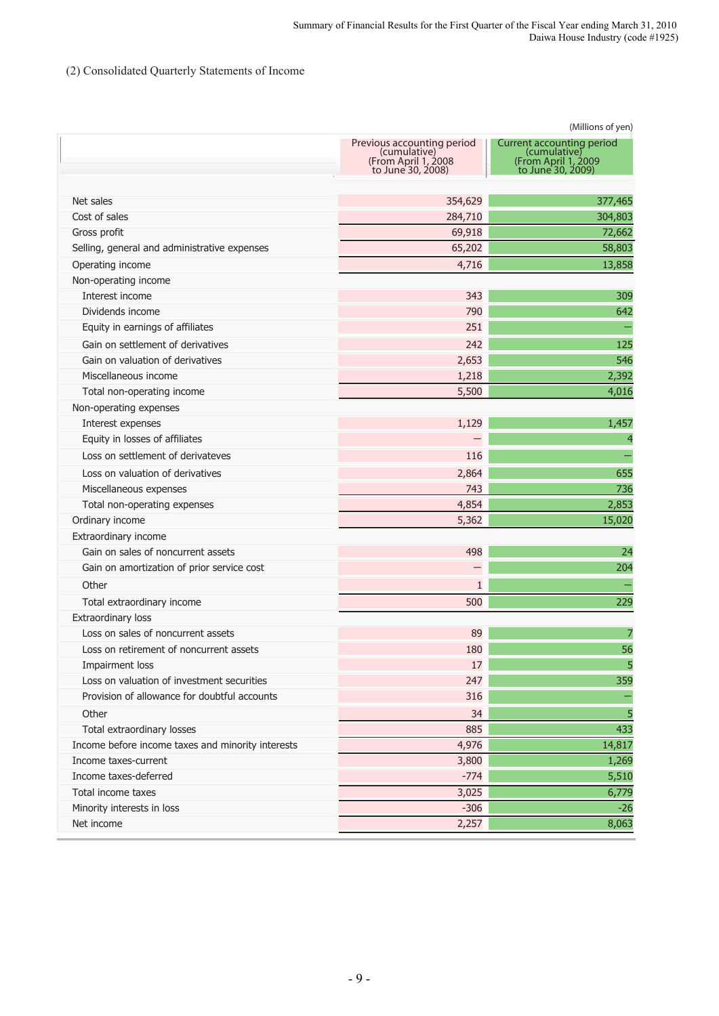# (2) Consolidated Quarterly Statements of Income

|                                                   |                                                                                         | (Millions of yen)                                                                     |
|---------------------------------------------------|-----------------------------------------------------------------------------------------|---------------------------------------------------------------------------------------|
|                                                   | Previous accounting period<br>(cumulative)<br>(From April 1, 2008)<br>to June 30, 2008) | Current accounting period<br>(cumulative)<br>From April 1, 2009)<br>to June 30, 2009) |
| Net sales                                         | 354,629                                                                                 | 377,465                                                                               |
| Cost of sales                                     | 284,710                                                                                 | 304,803                                                                               |
| Gross profit                                      | 69,918                                                                                  | 72,662                                                                                |
| Selling, general and administrative expenses      | 65,202                                                                                  | 58,803                                                                                |
| Operating income                                  | 4,716                                                                                   | 13,858                                                                                |
| Non-operating income                              |                                                                                         |                                                                                       |
| Interest income                                   | 343                                                                                     | 309                                                                                   |
| Dividends income                                  | 790                                                                                     | 642                                                                                   |
| Equity in earnings of affiliates                  | 251                                                                                     |                                                                                       |
| Gain on settlement of derivatives                 | 242                                                                                     | 125                                                                                   |
| Gain on valuation of derivatives                  | 2,653                                                                                   | 546                                                                                   |
| Miscellaneous income                              | 1,218                                                                                   | 2,392                                                                                 |
| Total non-operating income                        | 5,500                                                                                   | 4,016                                                                                 |
| Non-operating expenses                            |                                                                                         |                                                                                       |
| Interest expenses                                 | 1,129                                                                                   | 1,457                                                                                 |
| Equity in losses of affiliates                    |                                                                                         | $\overline{4}$                                                                        |
| Loss on settlement of derivateves                 | 116                                                                                     |                                                                                       |
| Loss on valuation of derivatives                  | 2,864                                                                                   | 655                                                                                   |
| Miscellaneous expenses                            | 743                                                                                     | 736                                                                                   |
| Total non-operating expenses                      | 4,854                                                                                   | 2,853                                                                                 |
| Ordinary income                                   | 5,362                                                                                   | 15,020                                                                                |
| Extraordinary income                              |                                                                                         |                                                                                       |
| Gain on sales of noncurrent assets                | 498                                                                                     | 24                                                                                    |
| Gain on amortization of prior service cost        |                                                                                         | 204                                                                                   |
| Other                                             | $\mathbf{1}$                                                                            |                                                                                       |
| Total extraordinary income                        | 500                                                                                     | 229                                                                                   |
| Extraordinary loss                                |                                                                                         |                                                                                       |
| Loss on sales of noncurrent assets                | 89                                                                                      |                                                                                       |
| Loss on retirement of noncurrent assets           | 180                                                                                     | 56                                                                                    |
| Impairment loss                                   | 17                                                                                      | 5                                                                                     |
| Loss on valuation of investment securities        | 247                                                                                     | 359                                                                                   |
| Provision of allowance for doubtful accounts      | 316                                                                                     |                                                                                       |
| Other                                             | 34                                                                                      | 5                                                                                     |
| Total extraordinary losses                        | 885                                                                                     | 433                                                                                   |
| Income before income taxes and minority interests | 4,976                                                                                   | 14,817                                                                                |
| Income taxes-current                              | 3,800                                                                                   | 1,269                                                                                 |
| Income taxes-deferred                             | $-774$                                                                                  | 5,510                                                                                 |
| Total income taxes                                | 3,025                                                                                   | 6,779                                                                                 |
| Minority interests in loss                        | $-306$                                                                                  | $-26$                                                                                 |
| Net income                                        | 2,257                                                                                   | 8,063                                                                                 |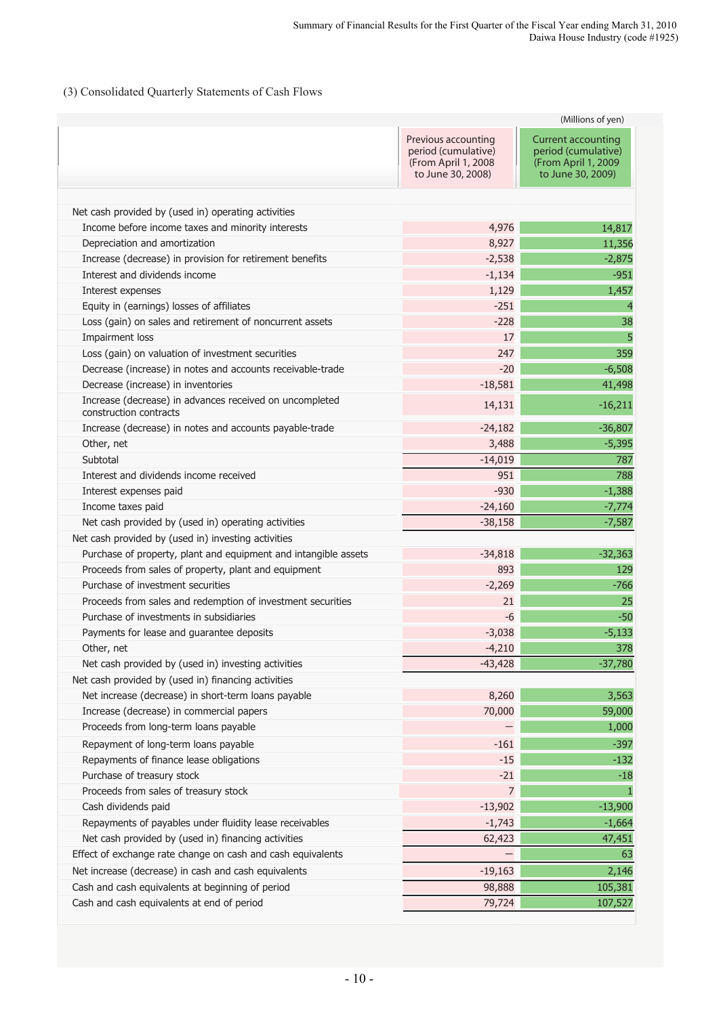## (3) Consolidated Quarterly Statements of Cash Flows

|                                                                                   | (Millions of yen)                                                                      |                                                                                              |  |  |  |
|-----------------------------------------------------------------------------------|----------------------------------------------------------------------------------------|----------------------------------------------------------------------------------------------|--|--|--|
|                                                                                   | Previous accounting<br>period (cumulative)<br>(From April 1, 2008<br>to June 30, 2008) | <b>Current accounting</b><br>period (cumulative)<br>(From April 1, 2009<br>to June 30, 2009) |  |  |  |
| Net cash provided by (used in) operating activities                               |                                                                                        |                                                                                              |  |  |  |
| Income before income taxes and minority interests                                 | 4,976                                                                                  | 14,817                                                                                       |  |  |  |
| Depreciation and amortization                                                     | 8,927                                                                                  | 11,356                                                                                       |  |  |  |
| Increase (decrease) in provision for retirement benefits                          | $-2,538$                                                                               | $-2,875$                                                                                     |  |  |  |
| Interest and dividends income                                                     | $-1,134$                                                                               | $-951$                                                                                       |  |  |  |
| Interest expenses                                                                 | 1,129                                                                                  | 1,457                                                                                        |  |  |  |
| Equity in (earnings) losses of affiliates                                         | $-251$                                                                                 | $\overline{4}$                                                                               |  |  |  |
| Loss (gain) on sales and retirement of noncurrent assets                          | $-228$                                                                                 | 38                                                                                           |  |  |  |
| Impairment loss                                                                   | 17                                                                                     | 5                                                                                            |  |  |  |
| Loss (gain) on valuation of investment securities                                 | 247                                                                                    | 359                                                                                          |  |  |  |
| Decrease (increase) in notes and accounts receivable-trade                        | $-20$                                                                                  | $-6,508$                                                                                     |  |  |  |
| Decrease (increase) in inventories                                                | $-18,581$                                                                              | 41,498                                                                                       |  |  |  |
| Increase (decrease) in advances received on uncompleted<br>construction contracts | 14,131                                                                                 | $-16,211$                                                                                    |  |  |  |
| Increase (decrease) in notes and accounts payable-trade                           | $-24,182$                                                                              | $-36,807$                                                                                    |  |  |  |
| Other, net                                                                        | 3,488                                                                                  | $-5,395$                                                                                     |  |  |  |
| Subtotal                                                                          | $-14,019$                                                                              | 787                                                                                          |  |  |  |
| Interest and dividends income received                                            | 951                                                                                    | 788                                                                                          |  |  |  |
| Interest expenses paid                                                            | $-930$                                                                                 | $-1,388$                                                                                     |  |  |  |
| Income taxes paid                                                                 | $-24,160$                                                                              | $-7,774$                                                                                     |  |  |  |
| Net cash provided by (used in) operating activities                               | $-38,158$                                                                              | $-7,587$                                                                                     |  |  |  |
| Net cash provided by (used in) investing activities                               |                                                                                        |                                                                                              |  |  |  |
| Purchase of property, plant and equipment and intangible assets                   | $-34,818$                                                                              | $-32,363$                                                                                    |  |  |  |
| Proceeds from sales of property, plant and equipment                              | 893                                                                                    | 129                                                                                          |  |  |  |
| Purchase of investment securities                                                 | $-2,269$                                                                               | $-766$                                                                                       |  |  |  |
| Proceeds from sales and redemption of investment securities                       | 21                                                                                     | 25                                                                                           |  |  |  |
| Purchase of investments in subsidiaries                                           | $-6$                                                                                   | $-50$                                                                                        |  |  |  |
| Payments for lease and guarantee deposits                                         | $-3,038$                                                                               | $-5,133$                                                                                     |  |  |  |
| Other, net                                                                        | $-4,210$                                                                               | 378                                                                                          |  |  |  |
| Net cash provided by (used in) investing activities                               | $-43,428$                                                                              | $-37,780$                                                                                    |  |  |  |
| Net cash provided by (used in) financing activities                               |                                                                                        |                                                                                              |  |  |  |
| Net increase (decrease) in short-term loans payable                               | 8,260                                                                                  | 3,563                                                                                        |  |  |  |
| Increase (decrease) in commercial papers                                          | 70,000                                                                                 | 59,000                                                                                       |  |  |  |
| Proceeds from long-term loans payable                                             |                                                                                        | 1,000                                                                                        |  |  |  |
| Repayment of long-term loans payable                                              | $-161$                                                                                 | $-397$                                                                                       |  |  |  |
| Repayments of finance lease obligations                                           | $-15$                                                                                  | $-132$                                                                                       |  |  |  |
| Purchase of treasury stock                                                        | $-21$                                                                                  | $-18$                                                                                        |  |  |  |
| Proceeds from sales of treasury stock                                             | $\overline{7}$                                                                         | 1                                                                                            |  |  |  |
| Cash dividends paid                                                               | $-13,902$                                                                              | $-13,900$                                                                                    |  |  |  |
| Repayments of payables under fluidity lease receivables                           | $-1,743$                                                                               | $-1,664$                                                                                     |  |  |  |
| Net cash provided by (used in) financing activities                               | 62,423                                                                                 | 47,451                                                                                       |  |  |  |
| Effect of exchange rate change on cash and cash equivalents                       |                                                                                        | 63                                                                                           |  |  |  |
| Net increase (decrease) in cash and cash equivalents                              | $-19,163$                                                                              | 2,146                                                                                        |  |  |  |
| Cash and cash equivalents at beginning of period                                  | 98,888                                                                                 | 105,381                                                                                      |  |  |  |
| Cash and cash equivalents at end of period                                        | 79,724                                                                                 | 107,527                                                                                      |  |  |  |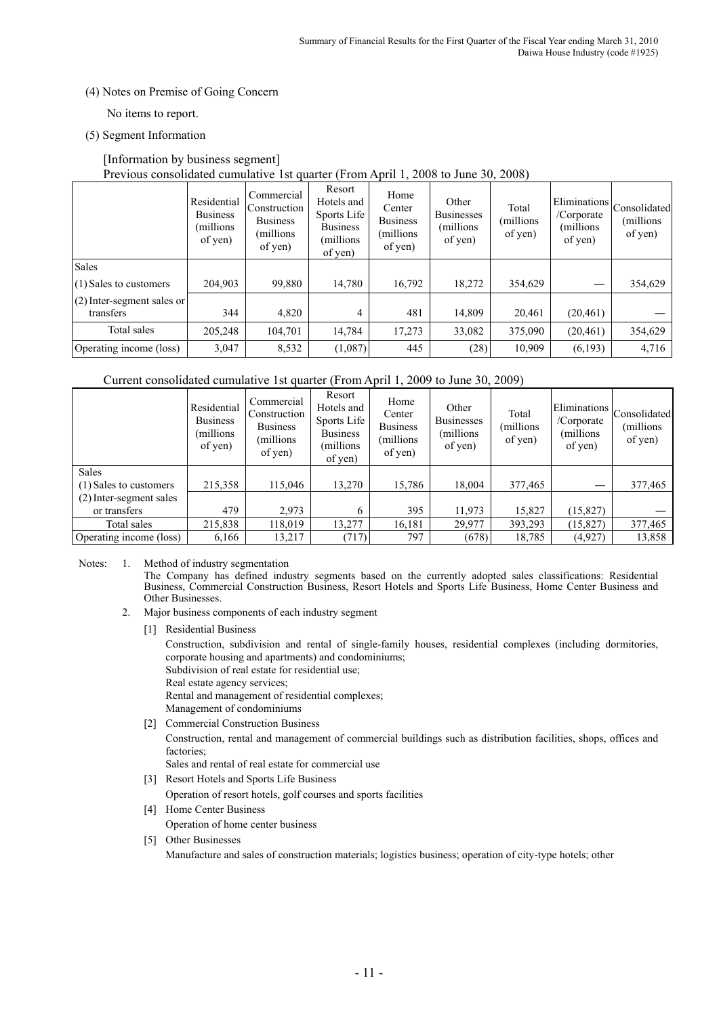(4) Notes on Premise of Going Concern

No items to report.

(5) Segment Information

## [Information by business segment] Previous consolidated cumulative 1st quarter (From April 1, 2008 to June 30, 2008)

|                                         | Residential<br><b>Business</b><br>(millions)<br>of yen) | Commercial<br>Construction<br><b>Business</b><br>(millions)<br>of yen) | Resort<br>Hotels and<br>Sports Life<br><b>Business</b><br>(millions<br>of yen) | Home<br>Center<br><b>Business</b><br>(millions)<br>of yen) | Other<br><b>Businesses</b><br>(millions)<br>of yen) | Total<br>millions)<br>of yen) | Eliminations<br>/Corporate<br>(millions)<br>of yen) | Consolidated<br>(millions)<br>of yen) |
|-----------------------------------------|---------------------------------------------------------|------------------------------------------------------------------------|--------------------------------------------------------------------------------|------------------------------------------------------------|-----------------------------------------------------|-------------------------------|-----------------------------------------------------|---------------------------------------|
| Sales                                   |                                                         |                                                                        |                                                                                |                                                            |                                                     |                               |                                                     |                                       |
| (1) Sales to customers                  | 204,903                                                 | 99,880                                                                 | 14,780                                                                         | 16,792                                                     | 18,272                                              | 354,629                       |                                                     | 354,629                               |
| (2) Inter-segment sales or<br>transfers | 344                                                     | 4,820                                                                  | $\overline{4}$                                                                 | 481                                                        | 14,809                                              | 20,461                        | (20, 461)                                           |                                       |
| Total sales                             | 205,248                                                 | 104,701                                                                | 14,784                                                                         | 17,273                                                     | 33,082                                              | 375,090                       | (20, 461)                                           | 354,629                               |
| Operating income (loss)                 | 3,047                                                   | 8,532                                                                  | (1,087)                                                                        | 445                                                        | (28)                                                | 10,909                        | (6,193)                                             | 4,716                                 |

## Current consolidated cumulative 1st quarter (From April 1, 2009 to June 30, 2009)

|                                        | Residential<br><b>Business</b><br>(millions)<br>of yen) | Commercial<br>Construction<br><b>Business</b><br>millions)<br>of yen) | Resort<br>Hotels and<br>Sports Life<br><b>Business</b><br>(millions)<br>of yen) | Home<br>Center<br><b>Business</b><br>millions)<br>of yen) | Other<br><b>Businesses</b><br>(millions)<br>of yen) | Total<br>millions)<br>of yen) | Eliminations<br>/Corporate<br>(millions)<br>of yen) | Consolidated<br>(millions)<br>of yen) |
|----------------------------------------|---------------------------------------------------------|-----------------------------------------------------------------------|---------------------------------------------------------------------------------|-----------------------------------------------------------|-----------------------------------------------------|-------------------------------|-----------------------------------------------------|---------------------------------------|
| <b>Sales</b><br>(1) Sales to customers | 215,358                                                 | 115,046                                                               | 13,270                                                                          | 15,786                                                    | 18,004                                              | 377,465                       |                                                     | 377,465                               |
| (2) Inter-segment sales                |                                                         |                                                                       |                                                                                 |                                                           |                                                     |                               |                                                     |                                       |
| or transfers                           | 479                                                     | 2,973                                                                 | 6                                                                               | 395                                                       | 11,973                                              | 15,827                        | (15, 827)                                           |                                       |
| Total sales                            | 215,838                                                 | 118,019                                                               | 13,277                                                                          | 16,181                                                    | 29,977                                              | 393,293                       | (15, 827)                                           | 377,465                               |
| Operating income (loss)                | 6,166                                                   | 13,217                                                                | (717)                                                                           | 797                                                       | (678)                                               | 18,785                        | (4, 927)                                            | 13,858                                |

Notes: 1. Method of industry segmentation

The Company has defined industry segments based on the currently adopted sales classifications: Residential Business, Commercial Construction Business, Resort Hotels and Sports Life Business, Home Center Business and Other Businesses.

- 2. Major business components of each industry segment
	- [1] Residential Business

Construction, subdivision and rental of single-family houses, residential complexes (including dormitories, corporate housing and apartments) and condominiums; Subdivision of real estate for residential use;

Real estate agency services;

Rental and management of residential complexes;

- Management of condominiums
- [2] Commercial Construction Business Construction, rental and management of commercial buildings such as distribution facilities, shops, offices and factories;
	- Sales and rental of real estate for commercial use
- [3] Resort Hotels and Sports Life Business Operation of resort hotels, golf courses and sports facilities
- [4] Home Center Business
	- Operation of home center business
- [5] Other Businesses

Manufacture and sales of construction materials; logistics business; operation of city-type hotels; other